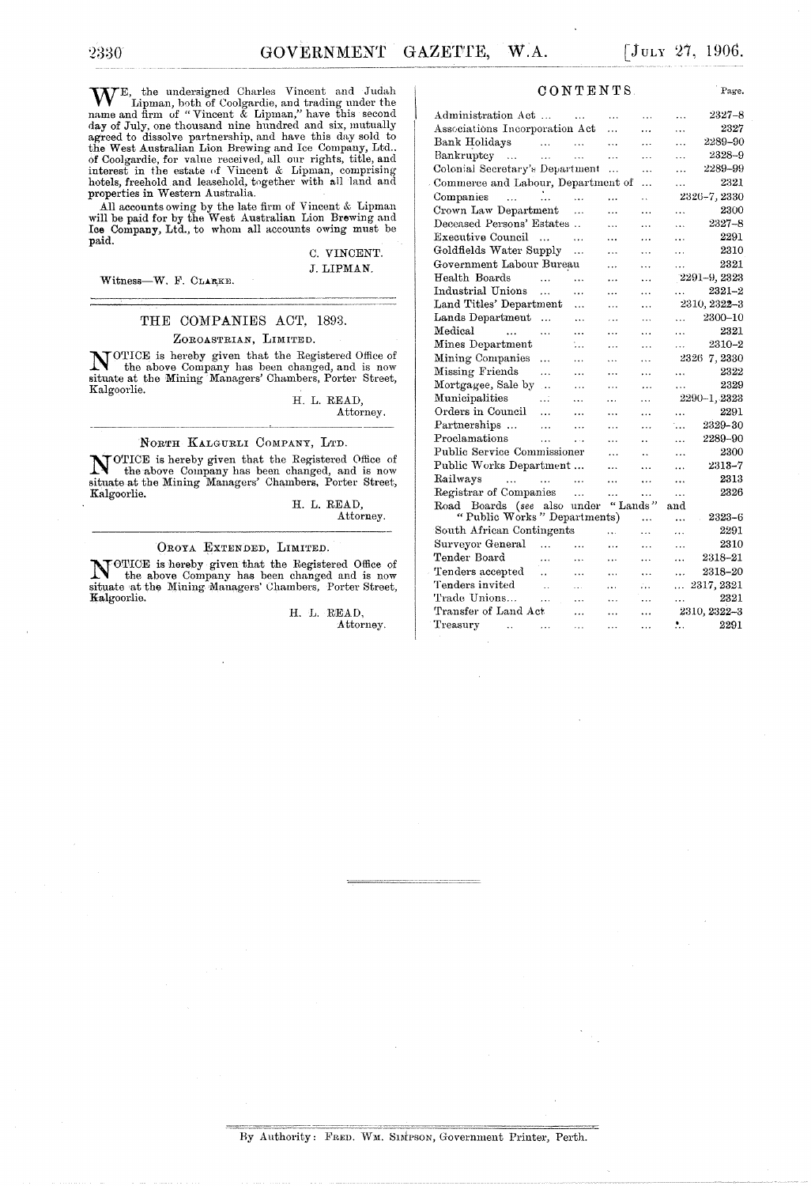WE, the undersigned Charles Vincent and Judah Lipman, both of Coolgardie, and trading under the name and firm of "Vincent & Lipman," have this second day of July, one thousand nine hundred and six, mutually agreed to dissolve partnership, and have this day sold to the West Australian Lion Brewing and Ice Company, Ltd.. of Coolgardie, for value received, all our rights, title, and interest in the estate of Vincent & Lipman, comprising hotels, freehold and leasehold, together with all land and properties in Western Australia.

All accounts owing by the late firm of Vincent & Lipman will be paid for by the West Australian Lion Brewing and Ice Company, Ltd., to whom all accounts owing must be paid.

#### C. VINCENT. J. LIPMAN.

Witness-W. F. CLARKE.

2330

-------------

## THE COMPANIES ACT, 1893.

#### ZOROASTRIAN, LIMITED.

NOTICE is hereby given that the Registered Office of **the above Company has been changed, and is now situate at the Mining Managers' Chambers, Porter Street,** Kalgoorlie.

H. L. READ, Attorney.

#### NORTH KALGURLI COMPANY, LTD.

NOTICE is hereby given that the Registered Office of the above Company has been changed, and is now situate at the Mining Managers' Chambers. Porter Street, Kalgoorlie.

H. L. READ, Attorney.

#### OROYA EXTENDED, LIMITED.

NOTICE is hereby given that the Registered Office of the above Company has been all the above Company has been changed and is now situate at the MiuingMallagers' Chambers, Porter Street, Kalgoorlie.

> H. L. READ, Attorney.

#### CONTENTS

| Administration Act                                       |                      |           | .         | .                    | .         | $2327 - 8$      |
|----------------------------------------------------------|----------------------|-----------|-----------|----------------------|-----------|-----------------|
| Associations Incorporation Act                           |                      |           | .         | $\cdots$             | .         | 2327            |
| Bank Holidays                                            | $\sim$ 100 $\pm$     | .         | $\ddotsc$ | .                    | .         | 2289-90         |
| Bankruptcy                                               | $\ddotsc$            | .         | .         | .                    | .         | 2328-9          |
| Colonial Secretary's Department                          |                      |           | .         | .                    | $\cdots$  | 2289-99         |
| Commerce and Labour, Department of                       |                      |           |           | $\ddotsc$            | $\ddotsc$ | 2321            |
| Companies<br>$\sim$ $\sim$ $\sim$                        | $\cdots$             | $\ddotsc$ | .         | v.                   |           | 2326-7, 2330    |
| Crown Law Department                                     |                      | $\ddotsc$ | $\ddotsc$ | $\ddotsc$            | .         | 2300            |
| Deceased Persons' Estates                                |                      | $\sim$    | $\cdots$  | .                    | $\ddotsc$ | 2327-8          |
| Executive Council                                        | $\sim$               | .         | $\ddotsc$ | .                    | .         | 2291            |
| Goldfields Water Supply                                  |                      | $\ddotsc$ | .         | .                    | .         | 2310            |
| Government Labour Bureau                                 |                      |           | .         | .                    | $\cdots$  | 2321            |
| Health Boards                                            | $\cdots$             | .         | .         | $\ddotsc$            |           | $2291 - 9,2323$ |
| Industrial Unions                                        | $\ddotsc$            | .         | $\cdots$  | .                    | .         | $2321 - 2$      |
| Land Titles' Department                                  |                      | .         | .         | .                    |           | 2310, 2322-3    |
| Lands Department                                         | $\ddotsc$            | .         | $\cdots$  | .                    | $\cdots$  | 2300–10         |
| Medical<br>$\ddotsc$                                     | .                    | $\cdots$  | $\cdots$  | $\ddotsc$            | $\cdots$  | 2321            |
| Mines Department                                         |                      | $\ddots$  | $\cdots$  | .                    | $\cdots$  | 2310-2          |
| Mining Companies                                         | .                    | .         | .         | .                    |           | 2326 7, 2330    |
| Missing Friends                                          | .                    | .         | .         | .                    | .         | 2322            |
| Mortgagee, Sale by                                       | $\ddotsc$            | .         | $\cdots$  | .                    | .         | 2329            |
| Municipalities                                           | .                    | $\ddotsc$ | $\ddotsc$ | .                    |           | 2290-1, 2323    |
| Orders in Council                                        | .                    | .         | .         | .                    | .         | 2291            |
| Partnerships                                             | $\ddotsc$            | .         | $\ddotsc$ | .                    | ٠.,       | 2329-30         |
| Proclamations                                            | .                    | $\ddotsc$ | $\ddotsc$ | $\ddot{\phantom{a}}$ | $\ddotsc$ | 2289-90         |
| Public Service Commissioner                              |                      |           | $\cdots$  | $\ddot{\phantom{a}}$ | $\ddotsc$ | 2300            |
| Public Works Department                                  |                      |           | .         | $\ddotsc$            |           | $2313 - 7$      |
| Railways<br>and the company of the company of            |                      |           | .         | $\ddotsc$            | $\cdots$  | 2313            |
| Registrar of Companies                                   |                      | $\ddotsc$ |           | $\ddotsc$            | $\ddotsc$ | 2326            |
| Road Boards (see also under                              |                      |           | "Lands"   |                      | and       |                 |
| "Public Works" Departments)                              |                      |           |           | .                    |           | 2323-6          |
| South African Contingents                                |                      |           | .         | .                    | .         | 2291            |
| Surveyor General                                         | $\sim$               | $\ddotsc$ | .         | .                    | $\ddotsc$ | 2310            |
| Tender Board                                             | .                    | .         | .         | .                    | .         | 2318-21         |
| Tenders accepted                                         | $\ddot{\phantom{a}}$ | $\ddotsc$ | $\ddotsc$ | $\cdots$             | $\ddotsc$ | 2318-20         |
| Tenders invited                                          | $\sim$ .             | i i c     | $\ddotsc$ | л.                   | $\cdots$  | 2317, 2321      |
| Trade Unions                                             | $\sim$               | $\cdots$  | $\ddotsc$ | .                    |           | 2321            |
| Transfer of Land Act                                     |                      | $\ddotsc$ | .         |                      |           | 2310, 2322-3    |
| Treasury<br>the contract of the contract of the contract |                      |           | $\cdots$  | $\cdots$             |           | $\cdot$ 2291    |

Page.